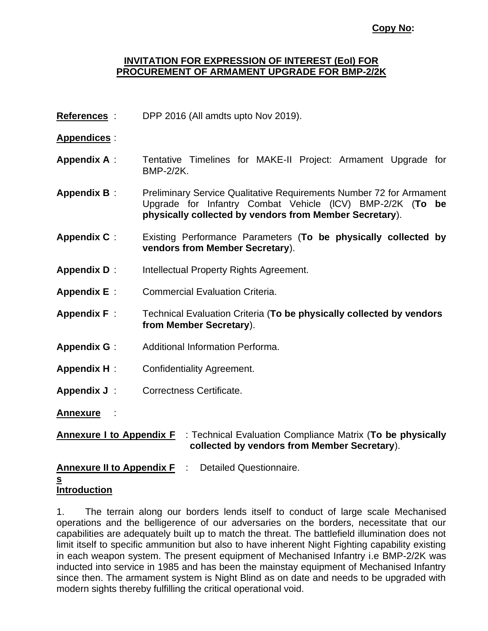#### **Copy No:**

#### **INVITATION FOR EXPRESSION OF INTEREST (EoI) FOR PROCUREMENT OF ARMAMENT UPGRADE FOR BMP-2/2K**

**References** : DPP 2016 (All amdts upto Nov 2019).

### **Appendices** :

- **Appendix A** : Tentative Timelines for MAKE-II Project: Armament Upgrade for BMP-2/2K.
- **Appendix B** : Preliminary Service Qualitative Requirements Number 72 for Armament Upgrade for Infantry Combat Vehicle (lCV) BMP-2/2K (**To be physically collected by vendors from Member Secretary**).
- **Appendix C** : Existing Performance Parameters (**To be physically collected by vendors from Member Secretary**).
- **Appendix D** : Intellectual Property Rights Agreement.
- **Appendix E** : Commercial Evaluation Criteria.
- **Appendix F** : Technical Evaluation Criteria (**To be physically collected by vendors from Member Secretary**).
- **Appendix G** : Additional Information Performa.
- **Appendix H** : Confidentiality Agreement.
- **Appendix J** : Correctness Certificate.

**Annexure** :

**Annexure I to Appendix F** : Technical Evaluation Compliance Matrix (**To be physically collected by vendors from Member Secretary**).

**Annexure II to Appendix F** : Detailed Questionnaire.

#### **s**

## **Introduction**

1. The terrain along our borders lends itself to conduct of large scale Mechanised operations and the belligerence of our adversaries on the borders, necessitate that our capabilities are adequately built up to match the threat. The battlefield illumination does not limit itself to specific ammunition but also to have inherent Night Fighting capability existing in each weapon system. The present equipment of Mechanised Infantry i.e BMP-2/2K was inducted into service in 1985 and has been the mainstay equipment of Mechanised Infantry since then. The armament system is Night Blind as on date and needs to be upgraded with modern sights thereby fulfilling the critical operational void.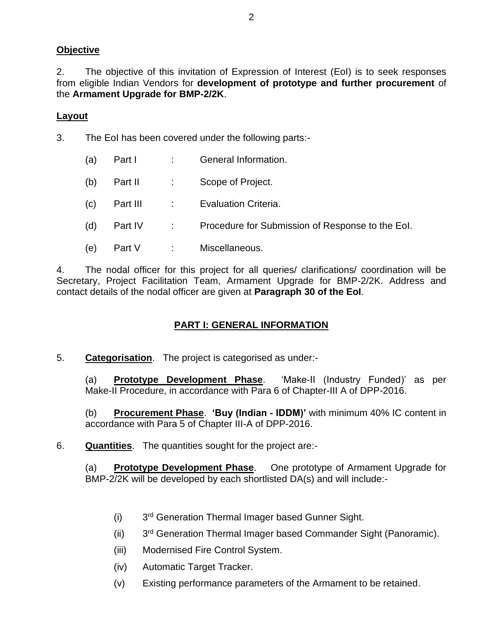### **Objective**

2. The objective of this invitation of Expression of Interest (EoI) is to seek responses from eligible Indian Vendors for **development of prototype and further procurement** of the **Armament Upgrade for BMP-2/2K**.

### **Layout**

- 3. The EoI has been covered under the following parts:-
	- (a) Part I : General Information.
	- (b) Part II : Scope of Project.
	- (c) Part III : Evaluation Criteria.
	- (d) Part IV : Procedure for Submission of Response to the EoI.
	- (e) Part V : Miscellaneous.

4. The nodal officer for this project for all queries/ clarifications/ coordination will be Secretary, Project Facilitation Team, Armament Upgrade for BMP-2/2K. Address and contact details of the nodal officer are given at **Paragraph 30 of the EoI**.

## **PART I: GENERAL INFORMATION**

5. **Categorisation**. The project is categorised as under:-

(a) **Prototype Development Phase**. 'Make-II (Industry Funded)' as per Make-II Procedure, in accordance with Para 6 of Chapter-III A of DPP-2016.

(b) **Procurement Phase**. **'Buy (Indian - IDDM)'** with minimum 40% IC content in accordance with Para 5 of Chapter III-A of DPP-2016.

6. **Quantities**. The quantities sought for the project are:-

(a) **Prototype Development Phase**. One prototype of Armament Upgrade for BMP-2/2K will be developed by each shortlisted DA(s) and will include:-

- $(i)$ 3<sup>rd</sup> Generation Thermal Imager based Gunner Sight.
- $(ii)$ 3<sup>rd</sup> Generation Thermal Imager based Commander Sight (Panoramic).
- (iii) Modernised Fire Control System.
- (iv) Automatic Target Tracker.
- (v) Existing performance parameters of the Armament to be retained.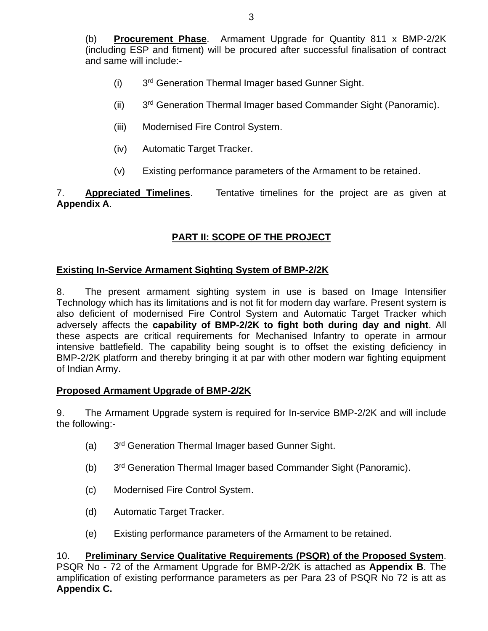(b) **Procurement Phase**. Armament Upgrade for Quantity 811 x BMP-2/2K (including ESP and fitment) will be procured after successful finalisation of contract and same will include:-

- $(i)$ 3<sup>rd</sup> Generation Thermal Imager based Gunner Sight.
- $(ii)$ 3<sup>rd</sup> Generation Thermal Imager based Commander Sight (Panoramic).
- (iii) Modernised Fire Control System.
- (iv) Automatic Target Tracker.
- (v) Existing performance parameters of the Armament to be retained.

7. **Appreciated Timelines**. Tentative timelines for the project are as given at **Appendix A**.

# **PART II: SCOPE OF THE PROJECT**

#### **Existing In-Service Armament Sighting System of BMP-2/2K**

8. The present armament sighting system in use is based on Image Intensifier Technology which has its limitations and is not fit for modern day warfare. Present system is also deficient of modernised Fire Control System and Automatic Target Tracker which adversely affects the **capability of BMP-2/2K to fight both during day and night**. All these aspects are critical requirements for Mechanised Infantry to operate in armour intensive battlefield. The capability being sought is to offset the existing deficiency in BMP-2/2K platform and thereby bringing it at par with other modern war fighting equipment of Indian Army.

#### **Proposed Armament Upgrade of BMP-2/2K**

9. The Armament Upgrade system is required for In-service BMP-2/2K and will include the following:-

- $(a)$ 3<sup>rd</sup> Generation Thermal Imager based Gunner Sight.
- $(b)$ 3<sup>rd</sup> Generation Thermal Imager based Commander Sight (Panoramic).
- (c) Modernised Fire Control System.
- (d) Automatic Target Tracker.
- (e) Existing performance parameters of the Armament to be retained.

10. **Preliminary Service Qualitative Requirements (PSQR) of the Proposed System**. PSQR No - 72 of the Armament Upgrade for BMP-2/2K is attached as **Appendix B**. The amplification of existing performance parameters as per Para 23 of PSQR No 72 is att as **Appendix C.**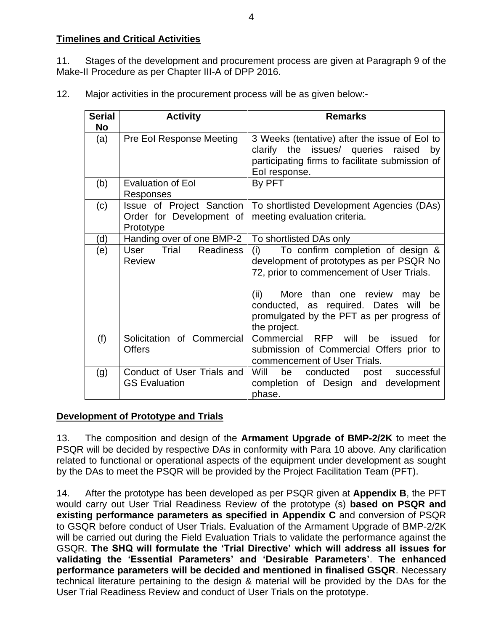### **Timelines and Critical Activities**

11. Stages of the development and procurement process are given at Paragraph 9 of the Make-II Procedure as per Chapter III-A of DPP 2016.

12. Major activities in the procurement process will be as given below:-

| <b>Serial</b><br><b>No</b> | <b>Activity</b>                                                    | <b>Remarks</b>                                                                                                                                                                                                                                                          |
|----------------------------|--------------------------------------------------------------------|-------------------------------------------------------------------------------------------------------------------------------------------------------------------------------------------------------------------------------------------------------------------------|
| (a)                        | Pre Eol Response Meeting                                           | 3 Weeks (tentative) after the issue of Eol to<br>clarify the issues/ queries raised<br>by<br>participating firms to facilitate submission of<br>Eol response.                                                                                                           |
| (b)                        | <b>Evaluation of Eol</b><br>Responses                              | By PFT                                                                                                                                                                                                                                                                  |
| (c)                        | Issue of Project Sanction<br>Order for Development of<br>Prototype | To shortlisted Development Agencies (DAs)<br>meeting evaluation criteria.                                                                                                                                                                                               |
| (d)                        | Handing over of one BMP-2                                          | To shortlisted DAs only                                                                                                                                                                                                                                                 |
| (e)                        | Trial<br><b>Readiness</b><br>User<br><b>Review</b>                 | To confirm completion of design &<br>(i)<br>development of prototypes as per PSQR No<br>72, prior to commencement of User Trials.<br>(ii)<br>More than one review<br>may<br>be<br>conducted, as required. Dates will<br>be<br>promulgated by the PFT as per progress of |
|                            |                                                                    | the project.                                                                                                                                                                                                                                                            |
| (f)                        | Solicitation of Commercial<br><b>Offers</b>                        | Commercial RFP<br>will<br>he.<br>issued<br>for<br>submission of Commercial Offers prior to<br>commencement of User Trials.                                                                                                                                              |
| (g)                        | Conduct of User Trials and<br><b>GS Evaluation</b>                 | Will<br>be<br>conducted<br>successful<br>post<br>completion of Design and development<br>phase.                                                                                                                                                                         |

## **Development of Prototype and Trials**

13. The composition and design of the **Armament Upgrade of BMP-2/2K** to meet the PSQR will be decided by respective DAs in conformity with Para 10 above. Any clarification related to functional or operational aspects of the equipment under development as sought by the DAs to meet the PSQR will be provided by the Project Facilitation Team (PFT).

14. After the prototype has been developed as per PSQR given at **Appendix B**, the PFT would carry out User Trial Readiness Review of the prototype (s) **based on PSQR and existing performance parameters as specified in Appendix C** and conversion of PSQR to GSQR before conduct of User Trials. Evaluation of the Armament Upgrade of BMP-2/2K will be carried out during the Field Evaluation Trials to validate the performance against the GSQR. **The SHQ will formulate the 'Trial Directive' which will address all issues for validating the 'Essential Parameters' and 'Desirable Parameters'**. **The enhanced performance parameters will be decided and mentioned in finalised GSQR**. Necessary technical literature pertaining to the design & material will be provided by the DAs for the User Trial Readiness Review and conduct of User Trials on the prototype.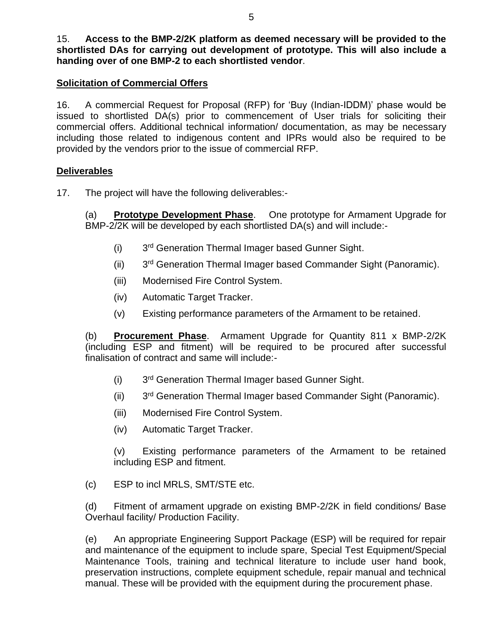### **Solicitation of Commercial Offers**

16. A commercial Request for Proposal (RFP) for 'Buy (Indian-IDDM)' phase would be issued to shortlisted DA(s) prior to commencement of User trials for soliciting their commercial offers. Additional technical information/ documentation, as may be necessary including those related to indigenous content and IPRs would also be required to be provided by the vendors prior to the issue of commercial RFP.

#### **Deliverables**

17. The project will have the following deliverables:-

(a) **Prototype Development Phase**. One prototype for Armament Upgrade for BMP-2/2K will be developed by each shortlisted DA(s) and will include:-

- $(i)$ 3<sup>rd</sup> Generation Thermal Imager based Gunner Sight.
- $(ii)$ 3<sup>rd</sup> Generation Thermal Imager based Commander Sight (Panoramic).
- (iii) Modernised Fire Control System.
- (iv) Automatic Target Tracker.
- (v) Existing performance parameters of the Armament to be retained.

(b) **Procurement Phase**. Armament Upgrade for Quantity 811 x BMP-2/2K (including ESP and fitment) will be required to be procured after successful finalisation of contract and same will include:-

- $(i)$ 3<sup>rd</sup> Generation Thermal Imager based Gunner Sight.
- $(ii)$ 3<sup>rd</sup> Generation Thermal Imager based Commander Sight (Panoramic).
- (iii) Modernised Fire Control System.
- (iv) Automatic Target Tracker.

(v) Existing performance parameters of the Armament to be retained including ESP and fitment.

(c) ESP to incl MRLS, SMT/STE etc.

(d) Fitment of armament upgrade on existing BMP-2/2K in field conditions/ Base Overhaul facility/ Production Facility.

(e) An appropriate Engineering Support Package (ESP) will be required for repair and maintenance of the equipment to include spare, Special Test Equipment/Special Maintenance Tools, training and technical literature to include user hand book, preservation instructions, complete equipment schedule, repair manual and technical manual. These will be provided with the equipment during the procurement phase.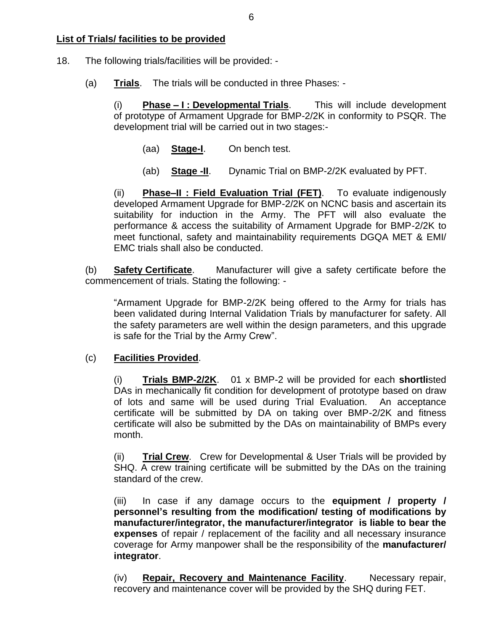### **List of Trials/ facilities to be provided**

- 18. The following trials/facilities will be provided:
	- (a) **Trials**. The trials will be conducted in three Phases: -

(i) **Phase – I : Developmental Trials**. This will include development of prototype of Armament Upgrade for BMP-2/2K in conformity to PSQR. The development trial will be carried out in two stages:-

- (aa) **Stage-I**. On bench test.
- (ab) **Stage -II**. Dynamic Trial on BMP-2/2K evaluated by PFT.

(ii) **Phase–II : Field Evaluation Trial (FET)**. To evaluate indigenously developed Armament Upgrade for BMP-2/2K on NCNC basis and ascertain its suitability for induction in the Army. The PFT will also evaluate the performance & access the suitability of Armament Upgrade for BMP-2/2K to meet functional, safety and maintainability requirements DGQA MET & EMI/ EMC trials shall also be conducted.

(b) **Safety Certificate**. Manufacturer will give a safety certificate before the commencement of trials. Stating the following: -

"Armament Upgrade for BMP-2/2K being offered to the Army for trials has been validated during Internal Validation Trials by manufacturer for safety. All the safety parameters are well within the design parameters, and this upgrade is safe for the Trial by the Army Crew".

#### (c) **Facilities Provided**.

(i) **Trials BMP-2/2K**. 01 x BMP-2 will be provided for each **shortli**sted DAs in mechanically fit condition for development of prototype based on draw of lots and same will be used during Trial Evaluation. An acceptance certificate will be submitted by DA on taking over BMP-2/2K and fitness certificate will also be submitted by the DAs on maintainability of BMPs every month.

(ii) **Trial Crew**. Crew for Developmental & User Trials will be provided by SHQ. A crew training certificate will be submitted by the DAs on the training standard of the crew.

(iii) In case if any damage occurs to the **equipment / property / personnel's resulting from the modification/ testing of modifications by manufacturer/integrator, the manufacturer/integrator is liable to bear the expenses** of repair / replacement of the facility and all necessary insurance coverage for Army manpower shall be the responsibility of the **manufacturer/ integrator**.

(iv) **Repair, Recovery and Maintenance Facility**. Necessary repair, recovery and maintenance cover will be provided by the SHQ during FET.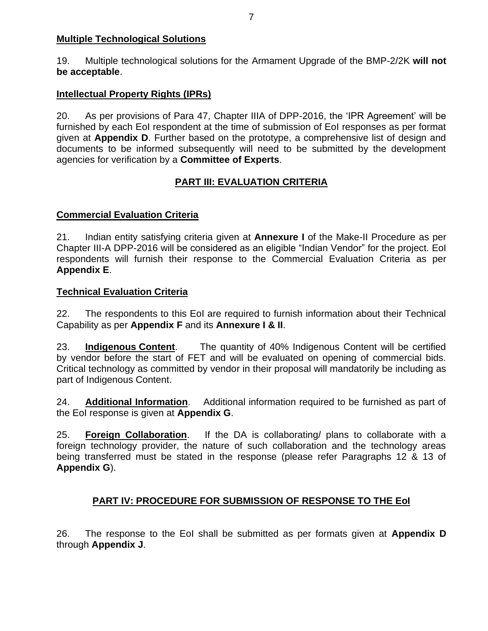### **Multiple Technological Solutions**

19. Multiple technological solutions for the Armament Upgrade of the BMP-2/2K **will not be acceptable**.

### **Intellectual Property Rights (IPRs)**

20. As per provisions of Para 47, Chapter IIIA of DPP-2016, the 'IPR Agreement' will be furnished by each EoI respondent at the time of submission of EoI responses as per format given at **Appendix D**. Further based on the prototype, a comprehensive list of design and documents to be informed subsequently will need to be submitted by the development agencies for verification by a **Committee of Experts**.

# **PART III: EVALUATION CRITERIA**

### **Commercial Evaluation Criteria**

21. Indian entity satisfying criteria given at **Annexure I** of the Make-II Procedure as per Chapter III-A DPP-2016 will be considered as an eligible "Indian Vendor" for the project. EoI respondents will furnish their response to the Commercial Evaluation Criteria as per **Appendix E**.

#### **Technical Evaluation Criteria**

22. The respondents to this EoI are required to furnish information about their Technical Capability as per **Appendix F** and its **Annexure I & II**.

23. **Indigenous Content**. The quantity of 40% Indigenous Content will be certified by vendor before the start of FET and will be evaluated on opening of commercial bids. Critical technology as committed by vendor in their proposal will mandatorily be including as part of Indigenous Content.

24. **Additional Information**. Additional information required to be furnished as part of the EoI response is given at **Appendix G**.

25. **Foreign Collaboration**. If the DA is collaborating/ plans to collaborate with a foreign technology provider, the nature of such collaboration and the technology areas being transferred must be stated in the response (please refer Paragraphs 12 & 13 of **Appendix G**).

## **PART IV: PROCEDURE FOR SUBMISSION OF RESPONSE TO THE EoI**

26. The response to the EoI shall be submitted as per formats given at **Appendix D** through **Appendix J**.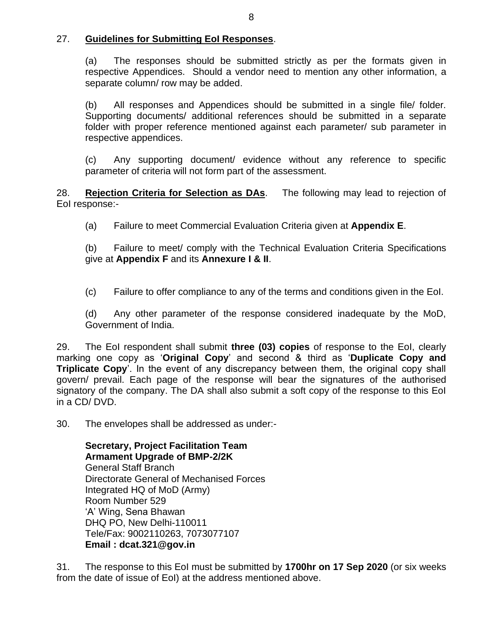### 27. **Guidelines for Submitting EoI Responses**.

(a) The responses should be submitted strictly as per the formats given in respective Appendices. Should a vendor need to mention any other information, a separate column/ row may be added.

(b) All responses and Appendices should be submitted in a single file/ folder. Supporting documents/ additional references should be submitted in a separate folder with proper reference mentioned against each parameter/ sub parameter in respective appendices.

(c) Any supporting document/ evidence without any reference to specific parameter of criteria will not form part of the assessment.

28. **Rejection Criteria for Selection as DAs**. The following may lead to rejection of EoI response:-

(a) Failure to meet Commercial Evaluation Criteria given at **Appendix E**.

(b) Failure to meet/ comply with the Technical Evaluation Criteria Specifications give at **Appendix F** and its **Annexure I & II**.

(c) Failure to offer compliance to any of the terms and conditions given in the EoI.

(d) Any other parameter of the response considered inadequate by the MoD, Government of India.

29. The EoI respondent shall submit **three (03) copies** of response to the EoI, clearly marking one copy as '**Original Copy**' and second & third as '**Duplicate Copy and Triplicate Copy**'. In the event of any discrepancy between them, the original copy shall govern/ prevail. Each page of the response will bear the signatures of the authorised signatory of the company. The DA shall also submit a soft copy of the response to this EoI in a CD/ DVD.

30. The envelopes shall be addressed as under:-

**Secretary, Project Facilitation Team Armament Upgrade of BMP-2/2K** General Staff Branch Directorate General of Mechanised Forces Integrated HQ of MoD (Army) Room Number 529 'A' Wing, Sena Bhawan DHQ PO, New Delhi-110011 Tele/Fax: 9002110263, 7073077107 **Email : dcat.321@gov.in**

31. The response to this EoI must be submitted by **1700hr on 17 Sep 2020** (or six weeks from the date of issue of EoI) at the address mentioned above.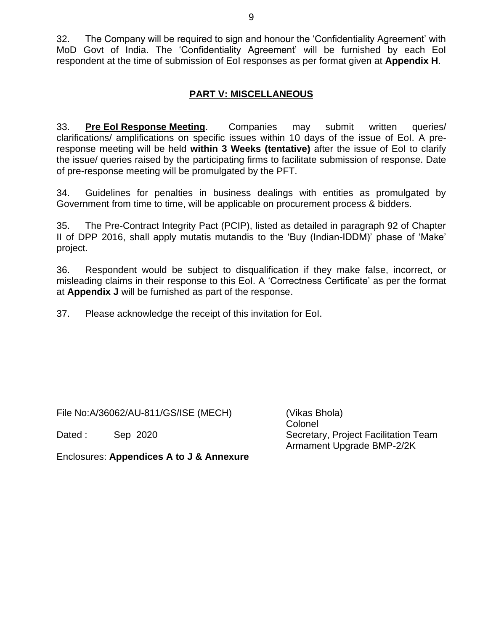32. The Company will be required to sign and honour the 'Confidentiality Agreement' with MoD Govt of India. The 'Confidentiality Agreement' will be furnished by each EoI respondent at the time of submission of EoI responses as per format given at **Appendix H**.

## **PART V: MISCELLANEOUS**

33. **Pre EoI Response Meeting**. Companies may submit written queries/ clarifications/ amplifications on specific issues within 10 days of the issue of EoI. A preresponse meeting will be held **within 3 Weeks (tentative)** after the issue of EoI to clarify the issue/ queries raised by the participating firms to facilitate submission of response. Date of pre-response meeting will be promulgated by the PFT.

34. Guidelines for penalties in business dealings with entities as promulgated by Government from time to time, will be applicable on procurement process & bidders.

35. The Pre-Contract Integrity Pact (PCIP), listed as detailed in paragraph 92 of Chapter II of DPP 2016, shall apply mutatis mutandis to the 'Buy (Indian-IDDM)' phase of 'Make' project.

36. Respondent would be subject to disqualification if they make false, incorrect, or misleading claims in their response to this EoI. A 'Correctness Certificate' as per the format at **Appendix J** will be furnished as part of the response.

37. Please acknowledge the receipt of this invitation for EoI.

File No:A/36062/AU-811/GS/ISE (MECH) (Vikas Bhola)

Colonel Dated : Sep 2020 Secretary, Project Facilitation Team Armament Upgrade BMP-2/2K

Enclosures: **Appendices A to J & Annexure**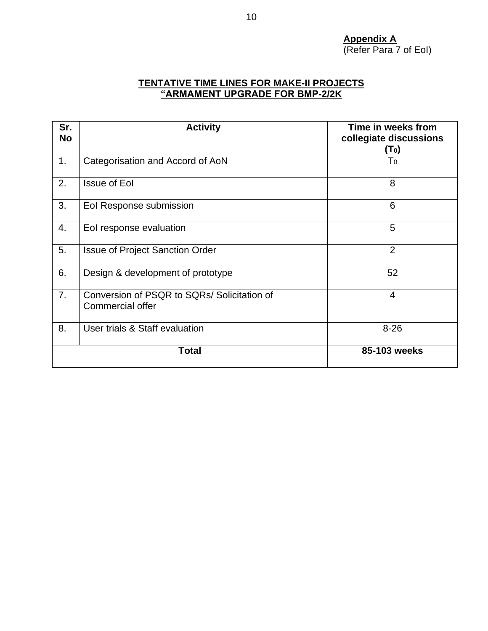**Appendix A** (Refer Para 7 of EoI)

### **TENTATIVE TIME LINES FOR MAKE-II PROJECTS "ARMAMENT UPGRADE FOR BMP-2/2K**

| Sr.<br><b>No</b> | <b>Activity</b>                                                        | Time in weeks from<br>collegiate discussions<br>(To) |
|------------------|------------------------------------------------------------------------|------------------------------------------------------|
| 1.               | Categorisation and Accord of AoN                                       | T <sub>0</sub>                                       |
| 2.               | <b>Issue of Eol</b>                                                    | 8                                                    |
| 3.               | Eol Response submission                                                | 6                                                    |
| 4.               | Eol response evaluation                                                | 5                                                    |
| 5.               | <b>Issue of Project Sanction Order</b>                                 | $\overline{2}$                                       |
| 6.               | Design & development of prototype                                      | 52                                                   |
| 7 <sub>1</sub>   | Conversion of PSQR to SQRs/ Solicitation of<br><b>Commercial offer</b> | $\overline{4}$                                       |
| 8.               | User trials & Staff evaluation                                         | $8 - 26$                                             |
|                  | <b>Total</b>                                                           | 85-103 weeks                                         |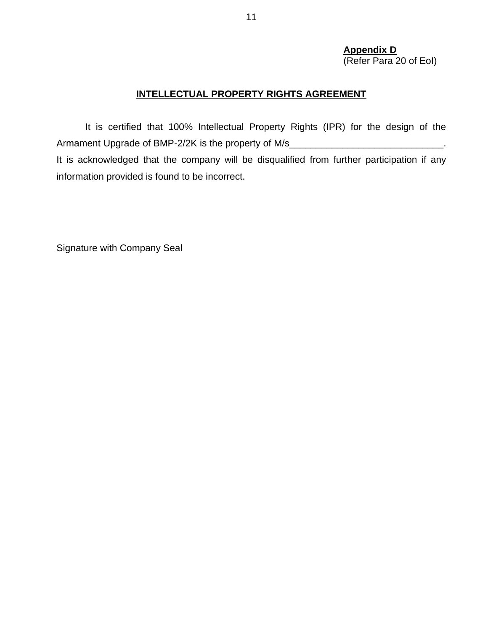# **Appendix D**

(Refer Para 20 of EoI)

# **INTELLECTUAL PROPERTY RIGHTS AGREEMENT**

It is certified that 100% Intellectual Property Rights (IPR) for the design of the Armament Upgrade of BMP-2/2K is the property of M/s\_\_\_\_\_\_\_\_\_\_\_\_\_\_\_\_\_\_\_\_\_\_\_\_\_\_\_\_\_ It is acknowledged that the company will be disqualified from further participation if any information provided is found to be incorrect.

Signature with Company Seal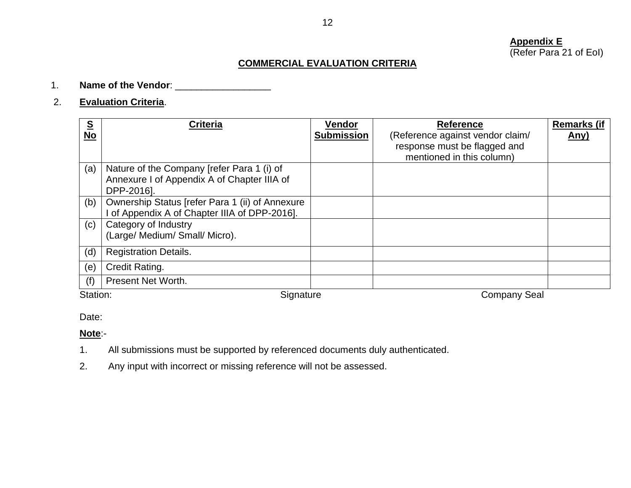#### **Appendix E** (Refer Para 21 of EoI)

# **COMMERCIAL EVALUATION CRITERIA**

### 1. **Name of the Vendor**: \_\_\_\_\_\_\_\_\_\_\_\_\_\_\_\_\_\_

## 2. **Evaluation Criteria**.

| $\underline{\underline{\mathsf{S}}}$<br><b>No</b> | <b>Criteria</b>                                                                                         | Vendor<br><b>Submission</b> | <b>Reference</b><br>(Reference against vendor claim/<br>response must be flagged and<br>mentioned in this column) | <b>Remarks (if</b><br><u>Any)</u> |
|---------------------------------------------------|---------------------------------------------------------------------------------------------------------|-----------------------------|-------------------------------------------------------------------------------------------------------------------|-----------------------------------|
| (a)                                               | Nature of the Company [refer Para 1 (i) of<br>Annexure I of Appendix A of Chapter IIIA of<br>DPP-2016]. |                             |                                                                                                                   |                                   |
| (b)                                               | Ownership Status [refer Para 1 (ii) of Annexure<br>I of Appendix A of Chapter IIIA of DPP-2016].        |                             |                                                                                                                   |                                   |
| (c)                                               | Category of Industry<br>(Large/ Medium/ Small/ Micro).                                                  |                             |                                                                                                                   |                                   |
| (d)                                               | <b>Registration Details.</b>                                                                            |                             |                                                                                                                   |                                   |
| (e)                                               | Credit Rating.                                                                                          |                             |                                                                                                                   |                                   |
| (f)                                               | Present Net Worth.                                                                                      |                             |                                                                                                                   |                                   |
| Station:                                          | Signature                                                                                               |                             | <b>Company Seal</b>                                                                                               |                                   |

Date:

#### **Note**:-

- 1. All submissions must be supported by referenced documents duly authenticated.
- 2. Any input with incorrect or missing reference will not be assessed.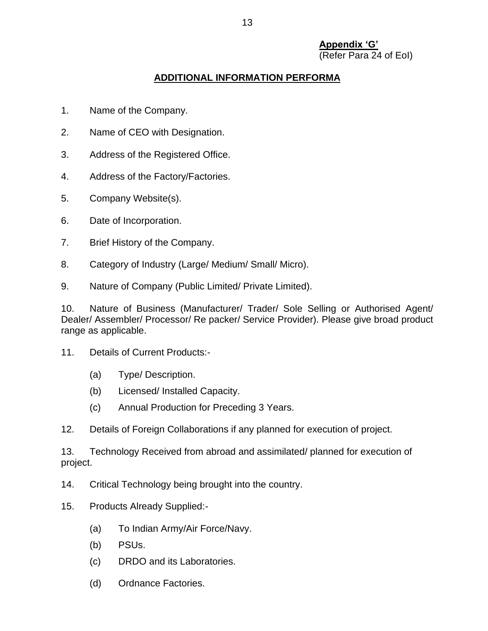#### **Appendix 'G'** (Refer Para 24 of EoI)

## **ADDITIONAL INFORMATION PERFORMA**

- 1. Name of the Company.
- 2. Name of CEO with Designation.
- 3. Address of the Registered Office.
- 4. Address of the Factory/Factories.
- 5. Company Website(s).
- 6. Date of Incorporation.
- 7. Brief History of the Company.
- 8. Category of Industry (Large/ Medium/ Small/ Micro).
- 9. Nature of Company (Public Limited/ Private Limited).

10. Nature of Business (Manufacturer/ Trader/ Sole Selling or Authorised Agent/ Dealer/ Assembler/ Processor/ Re packer/ Service Provider). Please give broad product range as applicable.

- 11. Details of Current Products:-
	- (a) Type/ Description.
	- (b) Licensed/ Installed Capacity.
	- (c) Annual Production for Preceding 3 Years.
- 12. Details of Foreign Collaborations if any planned for execution of project.

13. Technology Received from abroad and assimilated/ planned for execution of project.

- 14. Critical Technology being brought into the country.
- 15. Products Already Supplied:-
	- (a) To Indian Army/Air Force/Navy.
	- (b) PSUs.
	- (c) DRDO and its Laboratories.
	- (d) Ordnance Factories.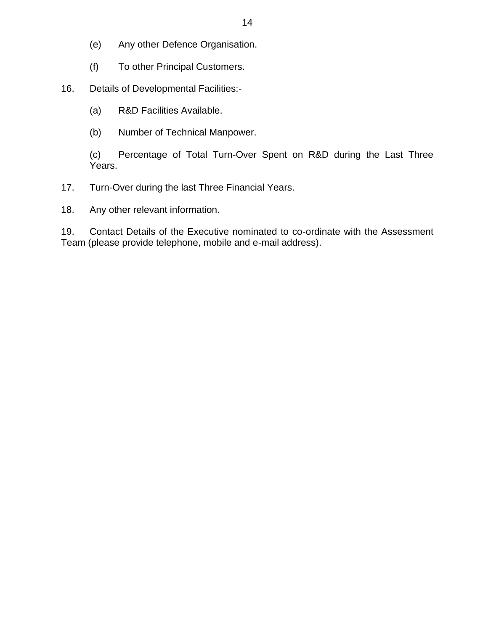- (e) Any other Defence Organisation.
- (f) To other Principal Customers.
- 16. Details of Developmental Facilities:-
	- (a) R&D Facilities Available.
	- (b) Number of Technical Manpower.

(c) Percentage of Total Turn-Over Spent on R&D during the Last Three Years.

- 17. Turn-Over during the last Three Financial Years.
- 18. Any other relevant information.

19. Contact Details of the Executive nominated to co-ordinate with the Assessment Team (please provide telephone, mobile and e-mail address).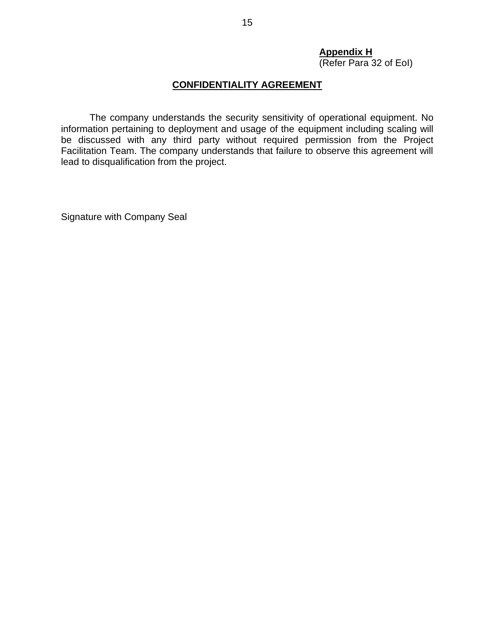## **Appendix H**

(Refer Para 32 of EoI)

### **CONFIDENTIALITY AGREEMENT**

The company understands the security sensitivity of operational equipment. No information pertaining to deployment and usage of the equipment including scaling will be discussed with any third party without required permission from the Project Facilitation Team. The company understands that failure to observe this agreement will lead to disqualification from the project.

Signature with Company Seal